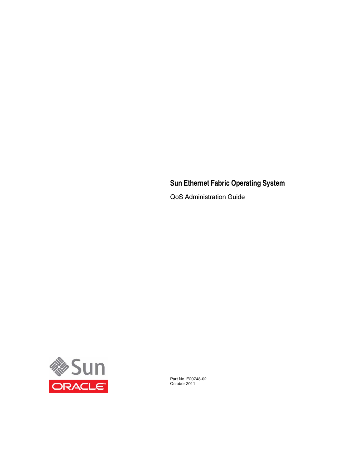### **Sun Ethernet Fabric Operating System**

QoS Administration Guide



Part No. E20748-02 October 2011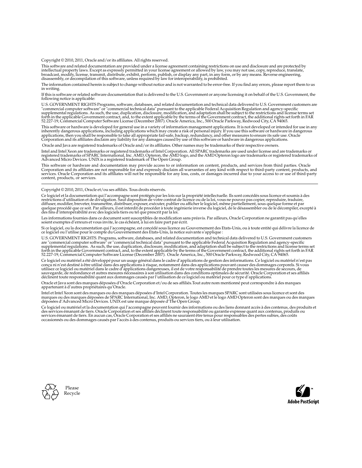Copyright © 2010, 2011, Oracle and/or its affiliates. All rights reserved.

This software and related documentation are provided under a license agreement containing restrictions on use and disclosure and are protected by intellectual property laws. Except as expressly permitted in your license agreement or allowed by law, you may not use, copy, reproduce, translate,<br>broadcast, modify, license, transmit, distribute, exhibit, perform, publis

The information contained herein is subject to change without notice and is not warranted to be error-free. If you find any errors, please report them to us in writing.

If this is software or related software documentation that is delivered to the U.S. Government or anyone licensing it on behalf of the U.S. Government, the following notice is applicable:

U.S. GOVERNMENT RIGHTS Programs, software, databases, and related documentation and technical data delivered to U.S. Government customers are "commercial computer software" or "commercial technical data" pursuant to the applicable Federal Acquisition Regulation and agency-specific<br>supplemental regulations. As such, the use, duplication, disclosure, modification, 52.227-19, Commercial Computer Software License (December 2007). Oracle America, Inc., 500 Oracle Parkway, Redwood City, CA 94065.

This software or hardware is developed for general use in a variety of information management applications. It is not developed or intended for use in any<br>inherently dangerous applications, including applications which may applications, then you shall be responsible to take all appropriate fail-safe, backup, redundancy, and other measures to ensure its safe use. Oracle Corporation and its affiliates disclaim any liability for any damages caused by use of this software or hardware in dangerous applications.

Oracle and Java are registered trademarks of Oracle and/or its affiliates. Other names may be trademarks of their respective owners.

Intel and Intel Xeon are trademarks or registered trademarks of Intel Corporation. All SPARC trademarks are used under license and are trademarks or<br>registered trademarks of SPARC International, Inc. AMD, Opteron, the AMD Advanced Micro Devices. UNIX is a registered trademark of The Open Group.

This software or hardware and documentation may provide access to or information on content, products, and services from third parties. Oracle Corporation and its affiliates are not responsible for and expressly disclaim all warranties of any kind with respect to third-party content, products, and services. Oracle Corporation and its affiliates will not be responsible for any loss, costs, or damages incurred due to your access to or use of third-party content, products, or services.

Copyright © 2010, 2011, Oracle et/ou ses affiliés. Tous droits réservés.

Ce logiciel et la documentation qui l'accompagne sont protégés par les lois sur la propriété intellectuelle. Ils sont concédés sous licence et soumis à des<br>restrictions d'utilisation et de divulgation. Sauf disposition de

Les informations fournies dans ce document sont susceptibles de modification sans préavis. Par ailleurs, Oracle Corporation ne garantit pas qu'elles soient exemptes d'erreurs et vous invite, le cas échéant, à lui en faire

Si ce logiciel, ou la documentation qui l'accompagne, est concédé sous licence au Gouvernement des Etats-Unis, ou à toute entité qui délivre la licence de ce logiciel ou l'utilise pour le compte du Gouvernement des Etats-Unis, la notice suivante s'applique :

U.S. GOVERNMENT RIGHTS. Programs, software, databases, and related documentation and technical data delivered to U.S. Government customers are "commercial computer software" or "commercial technical data" pursuant to the applicable Federal Acquisition Regulation and agency-specific supplemental regulations. As such, the use, duplication, disclosure, modification, and adaptation shall be subject to the restrictions and license terms set forth in the applicable Government contract, and, to the extent applicable by the terms of the Government contract, the additional rights set forth in FAR<br>52.227-19, Commercial Computer Software License (December 2007). Or

Ce logiciel ou matériel a été développé pour un usage général dans le cadre d'applications de gestion des informations. Ce logiciel ou matériel n'est pas<br>conçu ni n'est destiné à être utilisé dans des applications à risque utilisez ce logiciel ou matériel dans le cadre d'applications dangereuses, il est de votre responsabilité de prendre toutes les mesures de secours, de<br>sauvegarde, de redondance et autres mesures nécessaires à son utilisati déclinent toute responsabilité quant aux dommages causés par l'utilisation de ce logiciel ou matériel pour ce type d'applications.

Oracle et Java sont des marques déposées d'Oracle Corporation et/ou de ses affiliés.Tout autre nom mentionné peut correspondre à des marques appartenant à d'autres propriétaires qu'Oracle.

Intel et Intel Xeon sont des marques ou des marques déposées d'Intel Corporation. Toutes les marques SPARC sont utilisées sous licence et sont des<br>marques ou des marques déposées de SPARC International, Inc. AMD, Opteron,

Ce logiciel ou matériel et la documentation qui l'accompagne peuvent fournir des informations ou des liens donnant accès à des contenus, des produits et des services émanant de tiers. Oracle Corporation et ses affiliés déclinent toute responsabilité ou garantie expresse quant aux contenus, produits ou services émanant de tiers. En aucun cas, Oracle Corporation et ses affiliés ne sauraient être tenus pour responsables des pertes subies, des coûts occasionnés ou des dommages causés par l'accès à des contenus, produits ou services tiers, ou à leur utilisation.



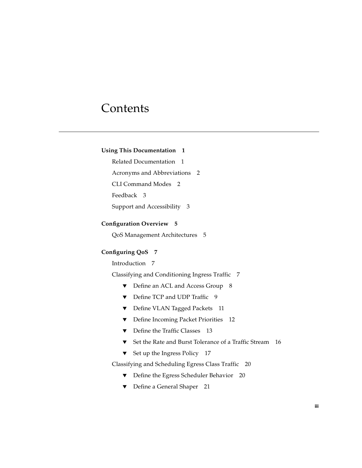### **Contents**

#### **[Using This Documentation 1](#page-4-0)**

[Related Documentation 1](#page-4-1)

[Acronyms and Abbreviations](#page-5-0) 2

[CLI Command Modes](#page-5-1) 2

[Feedback](#page-6-0) 3

[Support and Accessibility 3](#page-6-1)

#### **[Configuration Overview](#page-8-0) 5**

[QoS Management Architectures 5](#page-8-1)

#### **[Configuring QoS](#page-10-0) 7**

[Introduction 7](#page-10-1)

[Classifying and Conditioning Ingress Traffic 7](#page-10-2)

- ▼ [Define an ACL and Access Group 8](#page-11-0)
- ▼ [Define TCP and UDP Traffic 9](#page-12-0)
- ▼ [Define VLAN Tagged Packets 1](#page-14-0)1
- ▼ [Define Incoming Packet Priorities](#page-15-0) 12
- ▼ [Define the Traffic Classes](#page-16-0) 13
- ▼ [Set the Rate and Burst Tolerance of a Traffic Stream 1](#page-19-0)6
- ▼ [Set up the Ingress Policy](#page-20-0) 17

[Classifying and Scheduling Egress Class Traffic](#page-23-0) 20

- ▼ [Define the Egress Scheduler Behavior 2](#page-23-1)0
- ▼ [Define a General Shaper](#page-24-0) 21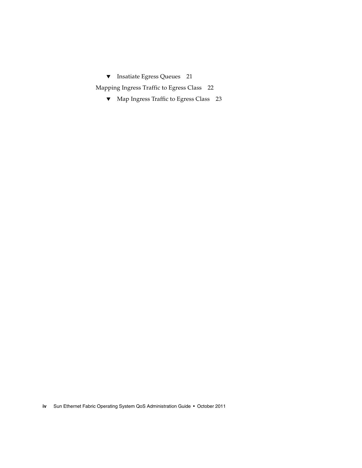▼ [Insatiate Egress Queues](#page-24-1) 21

[Mapping Ingress Traffic to Egress Class](#page-25-0) 22

▼ [Map Ingress Traffic to Egress Class](#page-26-0) 23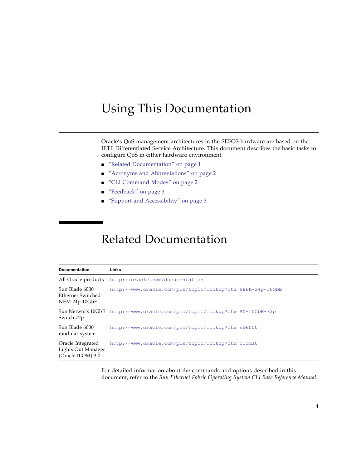# <span id="page-4-0"></span>Using This Documentation

Oracle's QoS management architectures in the SEFOS hardware are based on the IETF Differentiated Service Architecture. This document describes the basic tasks to configure QoS in either hardware environment.

- ["Related Documentation" on page 1](#page-4-1)
- ["Acronyms and Abbreviations" on page 2](#page-5-0)
- ["CLI Command Modes" on page 2](#page-5-1)
- ["Feedback" on page 3](#page-6-0)
- ["Support and Accessibility" on page 3](#page-6-1)

## Related Documentation

<span id="page-4-1"></span>

| <b>Documentation</b>                                         | Links                                                                     |
|--------------------------------------------------------------|---------------------------------------------------------------------------|
| All Oracle products                                          | http://oracle.com/documentation                                           |
| Sun Blade 6000<br>Ethernet Switched<br>NEM 24p 10GbE         | http://www.oracle.com/pls/topic/lookup?ctx=SB6K-24p-10GbE                 |
| Switch 72p                                                   | Sun Network 10GbE http://www.oracle.com/pls/topic/lookup?ctx=SN-10GbE-72p |
| Sun Blade 6000<br>modular system                             | http://www.oracle.com/pls/topic/lookup?ctx=sb6000                         |
| Oracle Integrated<br>Lights Out Manager<br>(Oracle ILOM) 3.0 | http://www.oracle.com/pls/topic/lookup?ctx=ilom30                         |

For detailed information about the commands and options described in this document, refer to the *Sun Ethernet Fabric Operating System CLI Base Reference Manual*.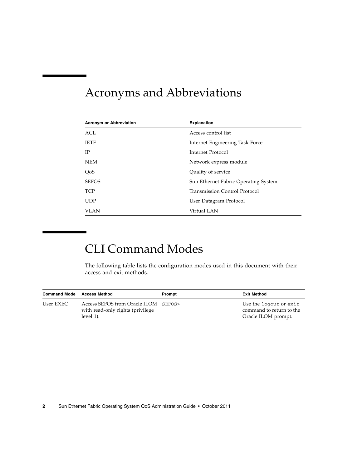# <span id="page-5-0"></span>Acronyms and Abbreviations

| <b>Acronym or Abbreviation</b> | <b>Explanation</b>                   |
|--------------------------------|--------------------------------------|
| ACL                            | Access control list                  |
| <b>IETF</b>                    | Internet Engineering Task Force      |
| IP                             | <b>Internet Protocol</b>             |
| <b>NEM</b>                     | Network express module               |
| QoS                            | Quality of service                   |
| <b>SEFOS</b>                   | Sun Ethernet Fabric Operating System |
| <b>TCP</b>                     | <b>Transmission Control Protocol</b> |
| <b>UDP</b>                     | User Datagram Protocol               |
| VLAN                           | Virtual LAN                          |

# <span id="page-5-1"></span>CLI Command Modes

The following table lists the configuration modes used in this document with their access and exit methods.

| <b>Command Mode Access Method</b> |                                                                                          | Prompt | <b>Exit Method</b>                                                        |
|-----------------------------------|------------------------------------------------------------------------------------------|--------|---------------------------------------------------------------------------|
| User EXEC                         | Access SEFOS from Oracle ILOM SEFOS><br>with read-only rights (privilege<br>$level 1$ ). |        | Use the logout or exit<br>command to return to the<br>Oracle ILOM prompt. |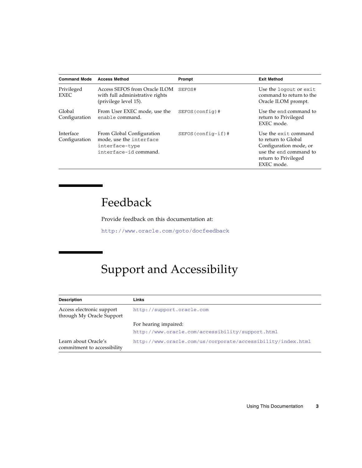| <b>Command Mode</b>        | <b>Access Method</b>                                                                            | Prompt               | <b>Exit Method</b>                                                                                                                    |
|----------------------------|-------------------------------------------------------------------------------------------------|----------------------|---------------------------------------------------------------------------------------------------------------------------------------|
| Privileged<br>EXEC         | Access SEFOS from Oracle ILOM<br>with full administrative rights<br>(privilege level 15).       | SEFOS#               | Use the logout or exit<br>command to return to the<br>Oracle ILOM prompt.                                                             |
| Global<br>Configuration    | From User EXEC mode, use the<br>enable command.                                                 | $SEFOS (confiq)$ #   | Use the end command to<br>return to Privileged<br>EXEC mode.                                                                          |
| Interface<br>Configuration | From Global Configuration<br>mode, use the interface<br>interface-type<br>interface-id command. | $SEFOS(confiq-if)$ # | Use the exit command<br>to return to Global<br>Configuration mode, or<br>use the end command to<br>return to Privileged<br>EXEC mode. |

# <span id="page-6-0"></span>Feedback

Provide feedback on this documentation at:

<http://www.oracle.com/goto/docfeedback>

# Support and Accessibility

<span id="page-6-1"></span>

| <b>Description</b>                                     | Links                                                       |
|--------------------------------------------------------|-------------------------------------------------------------|
| Access electronic support<br>through My Oracle Support | http://support.oracle.com                                   |
|                                                        | For hearing impaired:                                       |
|                                                        | http://www.oracle.com/accessibility/support.html            |
| Learn about Oracle's<br>commitment to accessibility    | http://www.oracle.com/us/corporate/accessibility/index.html |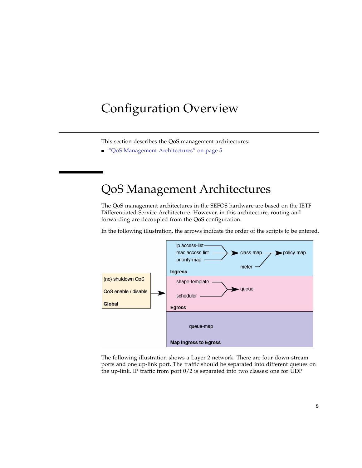# <span id="page-8-0"></span>Configuration Overview

This section describes the QoS management architectures:

■ ["QoS Management Architectures" on page 5](#page-8-1)

## <span id="page-8-1"></span>QoS Management Architectures

The QoS management architectures in the SEFOS hardware are based on the IETF Differentiated Service Architecture. However, in this architecture, routing and forwarding are decoupled from the QoS configuration.



In the following illustration, the arrows indicate the order of the scripts to be entered.

The following illustration shows a Layer 2 network. There are four down-stream ports and one up-link port. The traffic should be separated into different queues on the up-link. IP traffic from port 0/2 is separated into two classes: one for UDP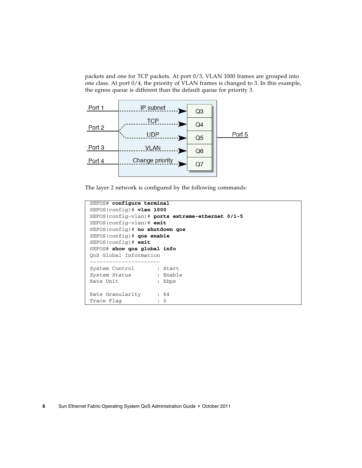packets and one for TCP packets. At port 0/3, VLAN 1000 frames are grouped into one class. At port 0/4, the priority of VLAN frames is changed to 3. In this example, the egress queue is different than the default queue for priority 3.



The layer 2 network is configured by the following commands:

```
SEFOS# configure terminal
SEFOS(config)# vlan 1000
SEFOS(config-vlan)# ports extreme-ethernet 0/1-5
SEFOS(config-vlan)# exit
SEFOS(config)# no shutdown qos
SEFOS(config)# qos enable
SEFOS(config)# exit
SEFOS# show qos global info
QoS Global Information
----------------------
System Control : Start
System Status : Enable
Rate Unit : kbps
Rate Granularity : 64
Trace Flag : 0
```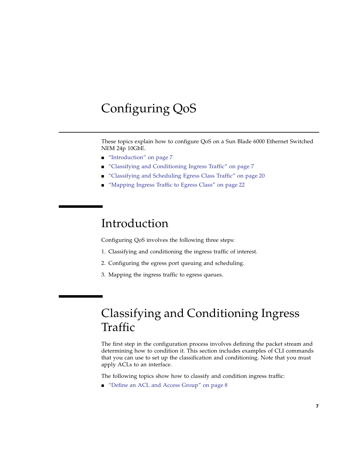# <span id="page-10-0"></span>Configuring QoS

These topics explain how to configure QoS on a Sun Blade 6000 Ethernet Switched NEM 24p 10GbE.

- ["Introduction" on page 7](#page-10-1)
- ["Classifying and Conditioning Ingress Traffic" on page 7](#page-10-2)
- ["Classifying and Scheduling Egress Class Traffic" on page 20](#page-23-0)
- ["Mapping Ingress Traffic to Egress Class" on page 22](#page-25-0)

## <span id="page-10-1"></span>Introduction

Configuring QoS involves the following three steps:

- 1. Classifying and conditioning the ingress traffic of interest.
- 2. Configuring the egress port queuing and scheduling.
- 3. Mapping the ingress traffic to egress queues.

# <span id="page-10-2"></span>Classifying and Conditioning Ingress Traffic

The first step in the configuration process involves defining the packet stream and determining how to condition it. This section includes examples of CLI commands that you can use to set up the classification and conditioning. Note that you must apply ACLs to an interface.

The following topics show how to classify and condition ingress traffic:

■ ["Define an ACL and Access Group" on page 8](#page-11-0)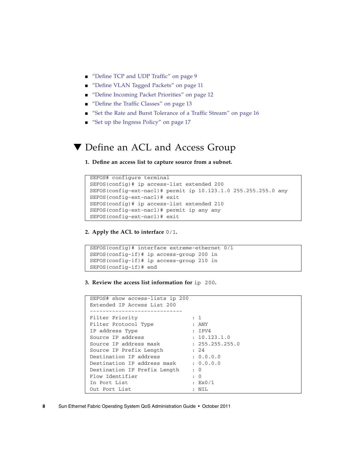- ["Define TCP and UDP Traffic" on page 9](#page-12-0)
- ["Define VLAN Tagged Packets" on page 11](#page-14-0)
- ["Define Incoming Packet Priorities" on page 12](#page-15-0)
- ["Define the Traffic Classes" on page 13](#page-16-0)
- ["Set the Rate and Burst Tolerance of a Traffic Stream" on page 16](#page-19-0)
- ["Set up the Ingress Policy" on page 17](#page-20-0)

#### <span id="page-11-0"></span>▼ Define an ACL and Access Group

**1. Define an access list to capture source from a subnet.**

```
SEFOS# configure terminal
SEFOS(config)# ip access-list extended 200
SEFOS(config-ext-nacl)# permit ip 10.123.1.0 255.255.255.0 any
SEFOS(config-ext-nacl)# exit
SEFOS(config)# ip access-list extended 210
SEFOS(config-ext-nacl)# permit ip any any
SEFOS(config-ext-nacl)# exit
```
**2. Apply the ACL to interface** 0/1**.**

```
SEFOS(config)# interface extreme-ethernet 0/1
SEFOS(config-if)# ip access-group 200 in
SEFOS(config-if)# ip access-group 210 in
SEFOS(config-if)# end
```
**3. Review the access list information for** ip 200**.**

```
SEFOS# show access-lists ip 200
Extended IP Access List 200
-----------------------------
Filter Priority : 1<br>
Filter Protocol Type : ANY
Filter Protocol Type \qquad : ANY
IP address Type : IPV4
Source IP address : 10.123.1.0
Source IP address mask : 255.255.255.0
Source IP Prefix Length : 24
Destination IP address : 0.0.0.0
Destination IP address mask : 0.0.0.0
Destination IP Prefix Length : 0
Flow Identifier : 0
In Port List : Ex0/1
Out Port List : NIL
```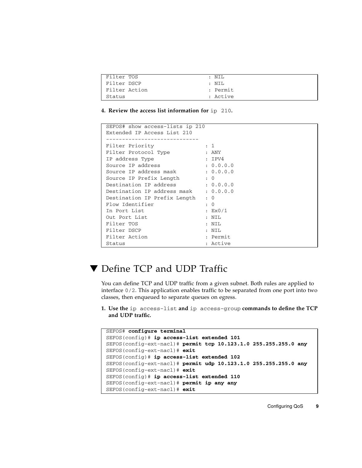| Filter TOS    | : NIL    |
|---------------|----------|
| Filter DSCP   | : NIL    |
| Filter Action | : Permit |
| Status        | : Active |

**4. Review the access list information for** ip 210**.**

```
SEFOS# show access-lists ip 210
Extended IP Access List 210
-----------------------------
Filter Priority : 1
Filter Protocol Type : ANY
IP address Type : IPV4
Source IP address : 0.0.0.0Source IP address mask : 0.0.0.0Source IP Prefix Length : 0
Destination IP address : 0.0.0.0
Destination IP address mask : 0.0.0.0
Destination IP Prefix Length : 0
Flow Identifier : 0
In Port List : Ex0/1
Out Port List : NIL
Filter TOS : NIL
Filter DSCP : NIL
Filter Action : Permit
Status : Active
```
### <span id="page-12-0"></span>▼ Define TCP and UDP Traffic

You can define TCP and UDP traffic from a given subnet. Both rules are applied to interface 0/2. This application enables traffic to be separated from one port into two classes, then enqueued to separate queues on egress.

**1. Use the** ip access-list **and** ip access-group **commands to define the TCP and UDP traffic.**

```
SEFOS# configure terminal
SEFOS(config)# ip access-list extended 101
SEFOS(config-ext-nacl)# permit tcp 10.123.1.0 255.255.255.0 any
SEFOS(config-ext-nacl)# exit
SEFOS(config)# ip access-list extended 102
SEFOS(config-ext-nacl)# permit udp 10.123.1.0 255.255.255.0 any
SEFOS(config-ext-nacl)# exit
SEFOS(config)# ip access-list extended 110
SEFOS(config-ext-nacl)# permit ip any any
SEFOS(config-ext-nacl)# exit
```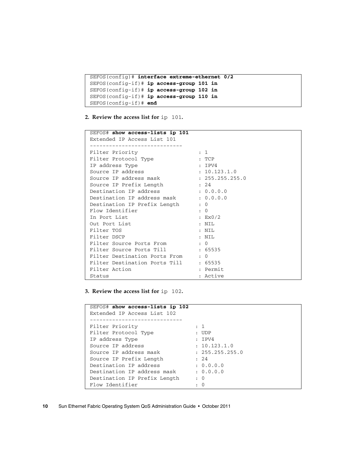```
SEFOS(config)# interface extreme-ethernet 0/2
SEFOS(config-if)# ip access-group 101 in
SEFOS(config-if)# ip access-group 102 in
SEFOS(config-if)# ip access-group 110 in
SEFOS(config-if)# end
```
**2. Review the access list for** ip 101**.**

| SEFOS# show access-lists ip 101       |                 |
|---------------------------------------|-----------------|
| Extended IP Access List 101           |                 |
|                                       |                 |
| Filter Priority                       | $\pm$ 1         |
| Filter Protocol Type                  | $\cdot$ TCP     |
| IP address Type                       | $\pm$ TPV4      |
| Source IP address                     | : 10.123.1.0    |
| Source IP address mask                | : 255.255.255.0 |
| Source IP Prefix Length<br>$\sim$ 24  |                 |
| Destination IP address : 0.0.0.0      |                 |
| Destination IP address mask : 0.0.0.0 |                 |
| Destination IP Prefix Length : 0      |                 |
| Flow Identifier<br>$\sim$ 0           |                 |
| In Port List                          | $:$ Ex0/2       |
| Out Port List                         | : NIL           |
| Filter TOS                            | : NIL           |
| Filter DSCP                           | : NIL           |
| Filter Source Ports From : 0          |                 |
| Filter Source Ports Till : 65535      |                 |
| Filter Destination Ports From : 0     |                 |
| Filter Destination Ports Till : 65535 |                 |
| Filter Action                         | : Permit        |
| Status                                | : Active        |

**3. Review the access list for** ip 102**.**

```
SEFOS# show access-lists ip 102
Extended IP Access List 102
-----------------------------
Filter Priority : 1
Filter Protocol Type \qquad \qquad : UDP
IP address Type : IPV4
Source IP address : 10.123.1.0
Source IP address mask : 255.255.255.0
Source IP Prefix Length : 24
Destination IP address : 0.0.0.0
Destination IP address mask : 0.0.0.0
Destination IP Prefix Length : 0
Flow Identifier : 0
```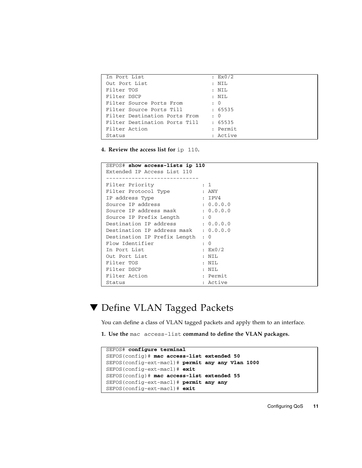| In Port List                  | $:$ Ex0/2 |
|-------------------------------|-----------|
| Out Port List                 | : NIL     |
| Filter TOS                    | : NIL     |
| Filter DSCP                   | : NIL     |
| Filter Source Ports From      | $\cdot$ 0 |
| Filter Source Ports Till      | : 65535   |
| Filter Destination Ports From | $\cdot$ 0 |
| Filter Destination Ports Till | : 65535   |
| Filter Action                 | : Permit  |
| Status                        | : Active  |
|                               |           |

**4. Review the access list for** ip 110**.**

| SEFOS# show access-lists ip 110       |           |
|---------------------------------------|-----------|
| Extended IP Access List 110           |           |
|                                       |           |
| Filter Priority                       | : 1       |
| Filter Protocol Type                  | : ANY     |
| IP address Type                       | : IPV4    |
| Source IP address                     | 0.0.0.0   |
| Source IP address mask : 0.0.0.0      |           |
| Source IP Prefix Length : 0           |           |
| Destination IP address : 0.0.0.0      |           |
| Destination IP address mask : 0.0.0.0 |           |
| Destination IP Prefix Length : 0      |           |
| Flow Identifier                       | $\cdot$ 0 |
| In Port List                          | $:$ Ex0/2 |
| Out Port List                         | : NIL     |
| Filter TOS                            | : NIL     |
| Filter DSCP                           | : NIL     |
| Filter Action                         | : Permit  |
| Status                                | : Active  |

<span id="page-14-0"></span>

### ▼ Define VLAN Tagged Packets

You can define a class of VLAN tagged packets and apply them to an interface.

**1. Use the** mac access-list **command to define the VLAN packages.**

```
SEFOS# configure terminal
SEFOS(config)# mac access-list extended 50
SEFOS(config-ext-macl)# permit any any Vlan 1000
SEFOS(config-ext-macl)# exit
SEFOS(config)# mac access-list extended 55
SEFOS(config-ext-macl)# permit any any
SEFOS(config-ext-macl)# exit
```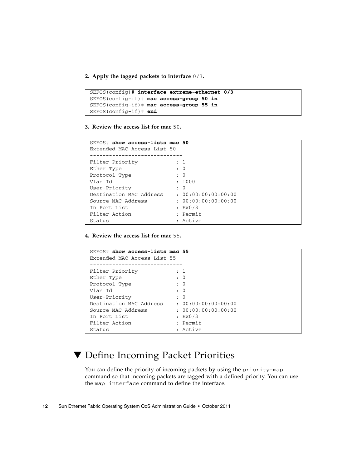**2. Apply the tagged packets to interface** 0/3**.**

```
SEFOS(config)# interface extreme-ethernet 0/3
SEFOS(config-if)# mac access-group 50 in
SEFOS(config-if)# mac access-group 55 in
SEFOS(config-if)# end
```
**3. Review the access list for mac** 50**.**

| SEFOS# show access-lists mac 50 |                     |
|---------------------------------|---------------------|
| Extended MAC Access List 50     |                     |
|                                 |                     |
| Filter Priority                 | : 1                 |
| Ether Type                      | $\colon 0$          |
| Protocol Type                   | $\colon 0$          |
| Vlan Id                         | : 1000              |
| User-Priority                   | $\cdot$ 0           |
| Destination MAC Address         | : 00:00:00:00:00:00 |
| Source MAC Address              | : 00:00:00:00:00:00 |
| In Port List                    | $:$ Ex0/3           |
| Filter Action                   | : Permit            |
| Status                          | : Active            |

**4. Review the access list for mac** 55**.**

| SEFOS# show access-lists mac 55 |                     |
|---------------------------------|---------------------|
| Extended MAC Access List 55     |                     |
|                                 |                     |
| Filter Priority                 | $\cdot$ 1           |
| Ether Type                      | $\colon 0$          |
| Protocol Type                   | $\colon 0$          |
| Vlan Id                         | $\cdot$ 0           |
| User-Priority                   | $\cdot$ 0           |
| Destination MAC Address         | : 00:00:00:00:00:00 |
| Source MAC Address              | : 00:00:00:00:00:00 |
| In Port List                    | $:$ Ex0/3           |
| Filter Action                   | : Permit            |
| Status                          | : Active            |

#### <span id="page-15-0"></span>▼ Define Incoming Packet Priorities

You can define the priority of incoming packets by using the priority-map command so that incoming packets are tagged with a defined priority. You can use the map interface command to define the interface.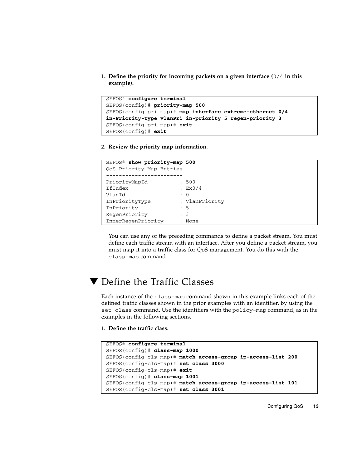**1. Define the priority for incoming packets on a given interface (**0/4 **in this example).**

```
SEFOS# configure terminal
SEFOS(config)# priority-map 500
SEFOS(config-pri-map)# map interface extreme-ethernet 0/4
in-Priority-type vlanPri in-priority 5 regen-priority 3
SEFOS(config-pri-map)# exit
SEFOS(config)# exit
```
**2. Review the priority map information.**

```
SEFOS# show priority-map 500
QoS Priority Map Entries
------------------------
PriorityMapId : 500
IfIndex : Ex0/4
VlanId : 0
InPriorityType : VlanPriority
InPriority : 5
RegenPriority : 3
InnerRegenPriority : None
```
You can use any of the preceding commands to define a packet stream. You must define each traffic stream with an interface. After you define a packet stream, you must map it into a traffic class for QoS management. You do this with the class-map command.

#### <span id="page-16-0"></span>▼ Define the Traffic Classes

Each instance of the class-map command shown in this example links each of the defined traffic classes shown in the prior examples with an identifier, by using the set class command. Use the identifiers with the policy-map command, as in the examples in the following sections.

#### **1. Define the traffic class.**

```
SEFOS# configure terminal
SEFOS(config)# class-map 1000
SEFOS(config-cls-map)# match access-group ip-access-list 200
SEFOS(config-cls-map)# set class 3000
SEFOS(config-cls-map)# exit
SEFOS(config)# class-map 1001
SEFOS(config-cls-map)# match access-group ip-access-list 101
SEFOS(config-cls-map)# set class 3001
```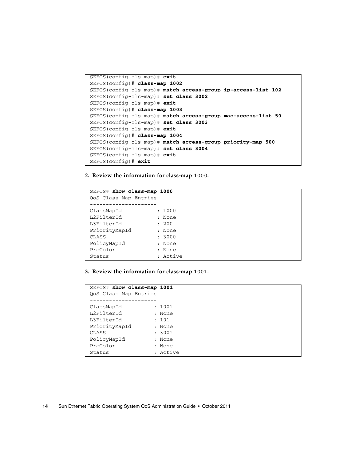```
SEFOS(config-cls-map)# exit
SEFOS(config)# class-map 1002
SEFOS(config-cls-map)# match access-group ip-access-list 102
SEFOS(config-cls-map)# set class 3002
SEFOS(config-cls-map)# exit
SEFOS(config)# class-map 1003
SEFOS(config-cls-map)# match access-group mac-access-list 50
SEFOS(config-cls-map)# set class 3003
SEFOS(config-cls-map)# exit
SEFOS(config)# class-map 1004
SEFOS(config-cls-map)# match access-group priority-map 500
SEFOS(config-cls-map)# set class 3004
SEFOS(config-cls-map)# exit
SEFOS(config)# exit
```
**2. Review the information for class-map** 1000**.**

```
SEFOS# show class-map 1000
QoS Class Map Entries
---------------------
ClassMapId : 1000
L2FilterId : None
L3FilterId : 200
PriorityMapId : None
CLASS : 3000
PolicyMapId : None
PreColor : None
Status : Active
```
**3. Review the information for class-map** 1001**.**

```
SEFOS# show class-map 1001
QoS Class Map Entries
---------------------
ClassMapId : 1001
L2FilterId : None
L3FilterId : 101
PriorityMapId : None
CLASS : 3001
PolicyMapId : None
PreColor : None
Status : Active
```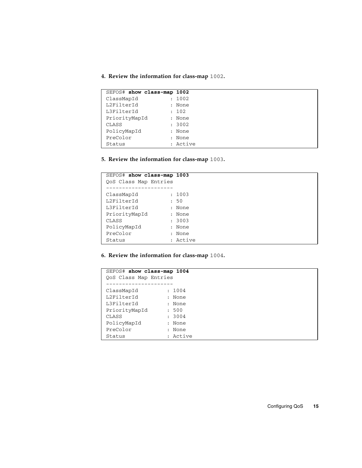**4. Review the information for class-map** 1002**.**

| SEFOS# show class-map 1002 |          |
|----------------------------|----------|
| ClassMapId                 | : 1002   |
| L2FilterId                 | : None   |
| L3FilterId                 | : 102    |
| PriorityMapId              | : None   |
| CLASS                      | : 3002   |
| PolicyMapId                | : None   |
| PreColor                   | : None   |
| Status                     | : Active |

**5. Review the information for class-map** 1003**.**

| SEFOS# show class-map 1003 |          |  |  |  |  |  |
|----------------------------|----------|--|--|--|--|--|
| OoS Class Map Entries      |          |  |  |  |  |  |
|                            |          |  |  |  |  |  |
| ClassMapId                 | : 1003   |  |  |  |  |  |
| L2FilterId                 | : 50     |  |  |  |  |  |
| L3FilterId<br>$\cdot$      | None     |  |  |  |  |  |
| PriorityMapId              | : None   |  |  |  |  |  |
| CLASS                      | : 3003   |  |  |  |  |  |
| PolicyMapId                | : None   |  |  |  |  |  |
| PreColor                   | : None   |  |  |  |  |  |
| Status                     | : Active |  |  |  |  |  |

**6. Review the information for class-map** 1004**.**

| SEFOS# show class-map 1004<br>QoS Class Map Entries |                      |  |  |
|-----------------------------------------------------|----------------------|--|--|
|                                                     |                      |  |  |
| ClassMapId                                          | : 1004               |  |  |
| L2FilterId                                          | None<br>$\mathbf{r}$ |  |  |
| L3FilterId                                          | : None               |  |  |
| PriorityMapId                                       | 500<br>$\mathbf{r}$  |  |  |
| CLASS                                               | : 3004               |  |  |
| PolicyMapId                                         | : None               |  |  |
| PreColor                                            | None<br>$\mathbf{r}$ |  |  |
| Status                                              | Active<br>$\cdot$    |  |  |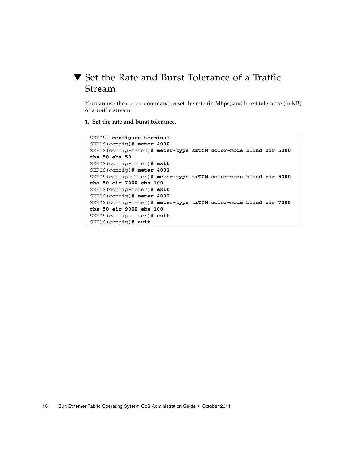### <span id="page-19-0"></span>▼ Set the Rate and Burst Tolerance of a Traffic Stream

You can use the meter command to set the rate (in Mbps) and burst tolerance (in KB) of a traffic stream.

**1. Set the rate and burst tolerance.**

```
SEFOS# configure terminal
SEFOS(config)# meter 4000
SEFOS(config-meter)# meter-type srTCM color-mode blind cir 5000
cbs 50 ebs 50
SEFOS(config-meter)# exit
SEFOS(config)# meter 4001
SEFOS(config-meter)# meter-type trTCM color-mode blind cir 5000
cbs 50 eir 7000 ebs 100
SEFOS(config-meter)# exit
SEFOS(config)# meter 4002
SEFOS(config-meter)# meter-type trTCM color-mode blind cir 7000
cbs 50 eir 9000 ebs 100
SEFOS(config-meter)# exit
SEFOS(config)# exit
```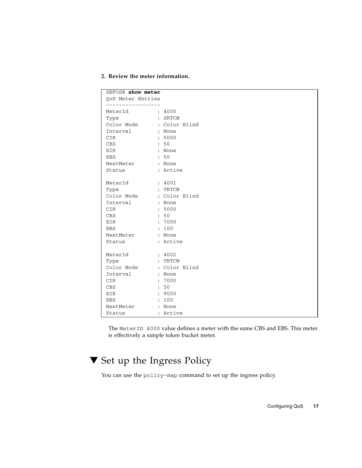#### **2. Review the meter information.**

| SEFOS# show meter        |            |          |
|--------------------------|------------|----------|
| QoS Meter Entries        |            |          |
| _________________        |            |          |
| MeterId : 4000           |            |          |
| Type                     |            | : SRTCM  |
| Color Mode : Color Blind |            |          |
| Interval : None          |            |          |
| CIR                      |            | :5000    |
| CBS                      | $\cdot$ 50 |          |
| EIR                      |            | : None   |
| EBS                      | $\cdot$ 50 |          |
| NextMeter : None         |            |          |
| Status                   |            | : Active |
|                          |            |          |
| MeterId                  |            | :4001    |
| : TRTCM<br>Type          |            |          |
| Color Mode : Color Blind |            |          |
| Interval : None          |            |          |
| CIR                      |            | :5000    |
| CBS                      | : 50       |          |
| EIR                      |            | : 7000   |
| EBS                      |            | : 100    |
| NextMeter : None         |            |          |
| Status : Active          |            |          |
|                          |            |          |
| MeterId : 4002           |            |          |
| : TRTCM<br>Type          |            |          |
| Color Mode : Color Blind |            |          |
| Interval                 |            | : None   |
| CIR                      |            | :7000    |
| CBS                      |            | : 50     |
| EIR                      |            | : 9000   |
| <b>EBS</b>               |            | : 100    |
| NextMeter : None         |            |          |
| Status                   |            | : Active |

The MeterID 4000 value defines a meter with the same CBS and EBS. This meter is effectively a simple token bucket meter.

### <span id="page-20-0"></span>▼ Set up the Ingress Policy

You can use the policy-map command to set up the ingress policy.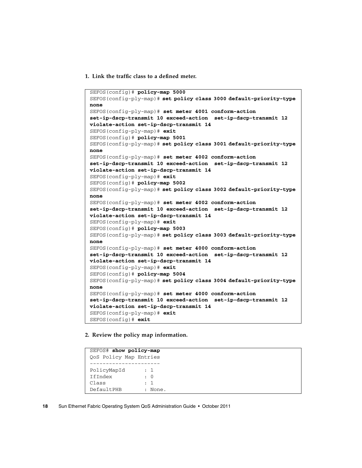**1. Link the traffic class to a defined meter.**

```
SEFOS(config)# policy-map 5000
SEFOS(config-ply-map)# set policy class 3000 default-priority-type
none
SEFOS(config-ply-map)# set meter 4001 conform-action
set-ip-dscp-transmit 10 exceed-action set-ip-dscp-transmit 12
violate-action set-ip-dscp-transmit 14
SEFOS(config-ply-map)# exit
SEFOS(config)# policy-map 5001
SEFOS(config-ply-map)# set policy class 3001 default-priority-type
none
SEFOS(config-ply-map)# set meter 4002 conform-action
set-ip-dscp-transmit 10 exceed-action set-ip-dscp-transmit 12
violate-action set-ip-dscp-transmit 14
SEFOS(config-ply-map)# exit
SEFOS(config)# policy-map 5002
SEFOS(config-ply-map)# set policy class 3002 default-priority-type
none
SEFOS(config-ply-map)# set meter 4002 conform-action
set-ip-dscp-transmit 10 exceed-action set-ip-dscp-transmit 12
violate-action set-ip-dscp-transmit 14
SEFOS(config-ply-map)# exit
SEFOS(config)# policy-map 5003
SEFOS(config-ply-map)# set policy class 3003 default-priority-type
none
SEFOS(config-ply-map)# set meter 4000 conform-action
set-ip-dscp-transmit 10 exceed-action set-ip-dscp-transmit 12
violate-action set-ip-dscp-transmit 14
SEFOS(config-ply-map)# exit
SEFOS(config)# policy-map 5004
SEFOS(config-ply-map)# set policy class 3004 default-priority-type
none
SEFOS(config-ply-map)# set meter 4000 conform-action
set-ip-dscp-transmit 10 exceed-action set-ip-dscp-transmit 12
violate-action set-ip-dscp-transmit 14
SEFOS(config-ply-map)# exit
SEFOS(config)# exit
```
#### **2. Review the policy map information.**

```
SEFOS# show policy-map
QoS Policy Map Entries
----------------------
PolicyMapId : 1
IfIndex : 0
Class : 1
DefaultPHB : None.
```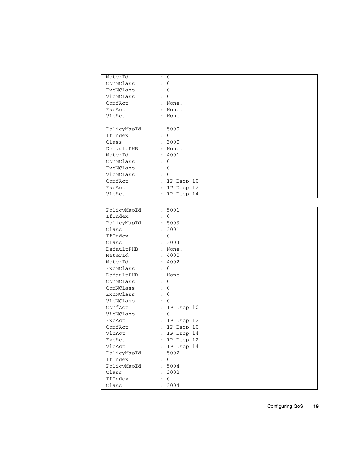| MeterId     | $\mathbf 0$<br>$\ddot{\cdot}$      |
|-------------|------------------------------------|
| ConNClass   | 0<br>$\ddot{\cdot}$                |
| ExcNClass   | $\mathbf 0$<br>$\mathbf{r}$        |
| VioNClass   | : 0                                |
| ConfAct     | : None.                            |
| ExcAct      | : None.                            |
| VioAct      | : None.                            |
|             |                                    |
| PolicyMapId | : 5000                             |
| IfIndex     | : 0                                |
| Class       | : 3000                             |
| DefaultPHB  | : None.                            |
| MeterId     | : 4001                             |
| ConNClass   | : 0                                |
| ExcNClass   | $\mathbf 0$<br>$\mathbf{r}$        |
| VioNClass   | : 0                                |
| ConfAct     | : IP Dscp 10                       |
| ExcAct      | : IP Dscp 12                       |
| VioAct      | IP Dscp 14<br>$\mathbf{r}$         |
|             |                                    |
|             |                                    |
| PolicyMapId | : 5001                             |
| IfIndex     | 0<br>$\ddot{\phantom{0}}$          |
| PolicyMapId | : 5003                             |
| Class       | : 3001                             |
| IfIndex     | : 0                                |
| Class       | : 3003                             |
| DefaultPHB  | : None.                            |
| MeterId     | : 4000                             |
| MeterId     | : 4002                             |
| ExcNClass   | : 0                                |
| DefaultPHB  | : None.                            |
| ConNClass   | $\mathbf 0$<br>$\mathbf{r}$        |
| ConNClass   | $\mathbf 0$<br>$\mathbf{L}$        |
| ExcNClass   | 0<br>$\ddot{\cdot}$                |
| VioNClass   | 0<br>$\ddot{\phantom{a}}$          |
| ConfAct     | IP Dscp 10<br>$\ddot{\cdot}$       |
| VioNClass   | : 0                                |
| ExcAct      | : IP Dscp 12                       |
| ConfAct     | IP Dscp 10<br>$\ddot{\cdot}$       |
| VioAct      | IP Dscp 14<br>$\ddot{\cdot}$       |
| ExcAct      | : IP Dscp 12                       |
| VioAct      | IP Dscp 14<br>$\ddot{\phantom{0}}$ |
| PolicyMapId | 5002<br>$\ddot{\cdot}$             |
| IfIndex     | 0<br>$\ddot{\phantom{a}}$          |
| PolicyMapId | 5004<br>$\ddot{\cdot}$             |
| Class       | 3002<br>$\ddot{\cdot}$             |
| IfIndex     | 0<br>$\ddot{\phantom{a}}$          |
| Class       | 3004<br>$\mathbf{r}$               |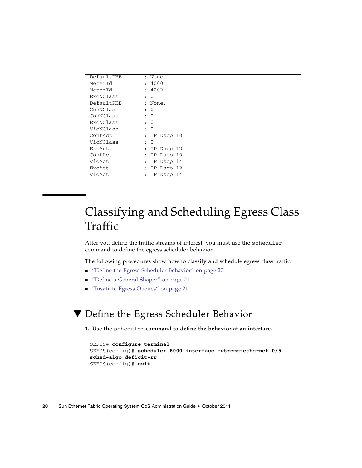| DefaultPHB | : None.                            |
|------------|------------------------------------|
| MeterId    | : 4000                             |
| MeterId    | : 4002                             |
| ExcNClass  | $\cdot$ 0                          |
| DefaultPHB | : None.                            |
| ConNClass  | $\colon 0$                         |
| ConNClass  | $\colon 0$                         |
| ExcNClass  | $\cdot$ 0                          |
| VioNClass  | $\cdot$ 0                          |
| ConfAct    | $:$ IP Dscp $10$                   |
| VioNClass  | : 0                                |
| ExcAct     | $:$ IP Dscp 12                     |
| ConfAct    | $:$ IP Dscp $10$                   |
| VioAct     | : IP Dscp 14                       |
| ExcAct     | $:$ IP Dscp 12                     |
| VioAct     | IP Dscp 14<br>$\ddot{\phantom{a}}$ |

# <span id="page-23-0"></span>Classifying and Scheduling Egress Class Traffic

After you define the traffic streams of interest, you must use the scheduler command to define the egress scheduler behavior.

The following procedures show how to classify and schedule egress class traffic:

- ["Define the Egress Scheduler Behavior" on page 20](#page-23-1)
- ["Define a General Shaper" on page 21](#page-24-0)
- ["Insatiate Egress Queues" on page 21](#page-24-1)

#### <span id="page-23-1"></span>▼ Define the Egress Scheduler Behavior

**1. Use the** scheduler **command to define the behavior at an interface.**

```
SEFOS# configure terminal
SEFOS(config)# scheduler 8000 interface extreme-ethernet 0/5
sched-algo deficit-rr
SEFOS(config)# exit
```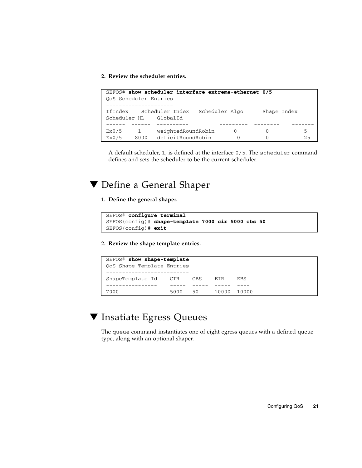**2. Review the scheduler entries.**

| SEFOS# show scheduler interface extreme-ethernet 0/5<br>OoS Scheduler Entries |      |                             |  |                |             |    |
|-------------------------------------------------------------------------------|------|-----------------------------|--|----------------|-------------|----|
|                                                                               |      |                             |  |                |             |    |
| IfIndex<br>Scheduler HL                                                       |      | Scheduler Index<br>GlobalId |  | Scheduler Algo | Shape Index |    |
|                                                                               |      |                             |  |                |             |    |
| Ex0/5                                                                         | 1    | weightedRoundRobin          |  | $\Omega$       |             | 5  |
| Ex0/5                                                                         | 8000 | deficitRoundRobin           |  | O              |             | 25 |

A default scheduler, 1, is defined at the interface 0/5. The scheduler command defines and sets the scheduler to be the current scheduler.

### <span id="page-24-0"></span>▼ Define a General Shaper

**1. Define the general shaper.**

```
SEFOS# configure terminal
SEFOS(config)# shape-template 7000 cir 5000 cbs 50
SEFOS(config)# exit
```
**2. Review the shape template entries.**

| SEFOS# show shape-template |      |     |       |            |
|----------------------------|------|-----|-------|------------|
| OoS Shape Template Entries |      |     |       |            |
|                            |      |     |       |            |
| ShapeTemplate Id           | CIR  | CBS | EIR   | <b>EBS</b> |
|                            |      |     |       |            |
| 7000                       | 5000 | 50  | 10000 | 10000      |

<span id="page-24-1"></span>

#### ▼ Insatiate Egress Queues

The queue command instantiates one of eight egress queues with a defined queue type, along with an optional shaper.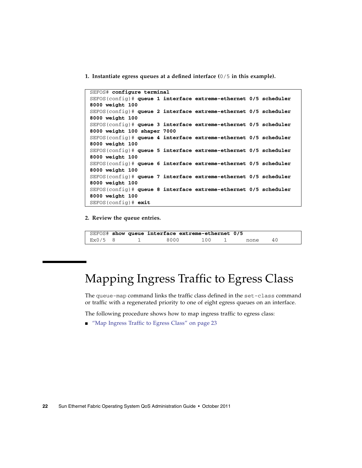**1. Instantiate egress queues at a defined interface (**0/5 **in this example).**

```
SEFOS# configure terminal
SEFOS(config)# queue 1 interface extreme-ethernet 0/5 scheduler
8000 weight 100
SEFOS(config)# queue 2 interface extreme-ethernet 0/5 scheduler
8000 weight 100
SEFOS(config)# queue 3 interface extreme-ethernet 0/5 scheduler
8000 weight 100 shaper 7000
SEFOS(config)# queue 4 interface extreme-ethernet 0/5 scheduler
8000 weight 100
SEFOS(config)# queue 5 interface extreme-ethernet 0/5 scheduler
8000 weight 100
SEFOS(config)# queue 6 interface extreme-ethernet 0/5 scheduler
8000 weight 100
SEFOS(config)# queue 7 interface extreme-ethernet 0/5 scheduler
8000 weight 100
SEFOS(config)# queue 8 interface extreme-ethernet 0/5 scheduler
8000 weight 100
SEFOS(config)# exit
```
**2. Review the queue entries.**

```
SEFOS# show queue interface extreme-ethernet 0/5
Ex0/5 8 1 8000 100 1 none 40
```
## <span id="page-25-0"></span>Mapping Ingress Traffic to Egress Class

The queue-map command links the traffic class defined in the set-class command or traffic with a regenerated priority to one of eight egress queues on an interface.

The following procedure shows how to map ingress traffic to egress class:

■ ["Map Ingress Traffic to Egress Class" on page 23](#page-26-0)